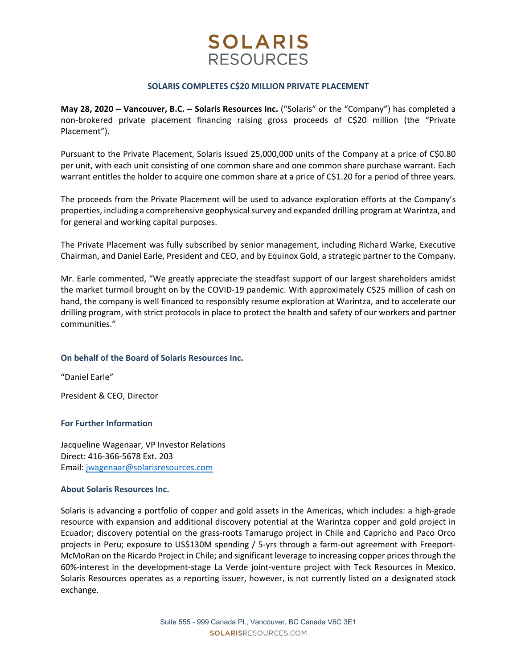# **SOLARIS RESOURCES**

#### **SOLARIS COMPLETES C\$20 MILLION PRIVATE PLACEMENT**

**May 28, 2020 – Vancouver, B.C. – Solaris Resources Inc.** ("Solaris" or the "Company") has completed a non‐brokered private placement financing raising gross proceeds of C\$20 million (the "Private Placement").

Pursuant to the Private Placement, Solaris issued 25,000,000 units of the Company at a price of C\$0.80 per unit, with each unit consisting of one common share and one common share purchase warrant. Each warrant entitles the holder to acquire one common share at a price of C\$1.20 for a period of three years.

The proceeds from the Private Placement will be used to advance exploration efforts at the Company's properties, including a comprehensive geophysical survey and expanded drilling program at Warintza, and for general and working capital purposes.

The Private Placement was fully subscribed by senior management, including Richard Warke, Executive Chairman, and Daniel Earle, President and CEO, and by Equinox Gold, a strategic partner to the Company.

Mr. Earle commented, "We greatly appreciate the steadfast support of our largest shareholders amidst the market turmoil brought on by the COVID‐19 pandemic. With approximately C\$25 million of cash on hand, the company is well financed to responsibly resume exploration at Warintza, and to accelerate our drilling program, with strict protocols in place to protect the health and safety of our workers and partner communities."

## **On behalf of the Board of Solaris Resources Inc.**

"Daniel Earle"

President & CEO, Director

## **For Further Information**

Jacqueline Wagenaar, VP Investor Relations Direct: 416‐366‐5678 Ext. 203 Email: jwagenaar@solarisresources.com

## **About Solaris Resources Inc.**

Solaris is advancing a portfolio of copper and gold assets in the Americas, which includes: a high‐grade resource with expansion and additional discovery potential at the Warintza copper and gold project in Ecuador; discovery potential on the grass-roots Tamarugo project in Chile and Capricho and Paco Orco projects in Peru; exposure to US\$130M spending / 5-yrs through a farm-out agreement with Freeport-McMoRan on the Ricardo Project in Chile; and significant leverage to increasing copper prices through the 60%‐interest in the development‐stage La Verde joint‐venture project with Teck Resources in Mexico. Solaris Resources operates as a reporting issuer, however, is not currently listed on a designated stock exchange.